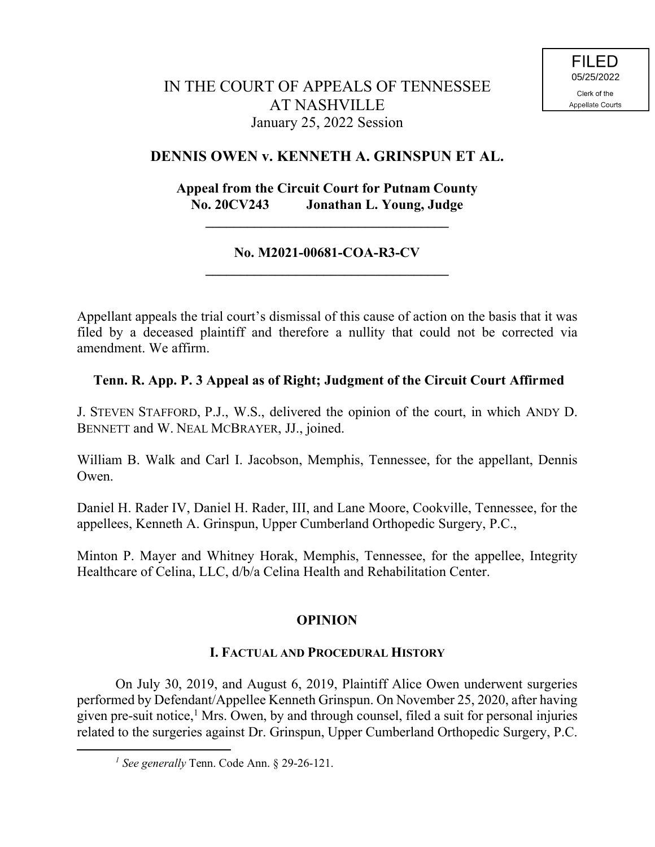# IN THE COURT OF APPEALS OF TENNESSEE AT NASHVILLE January 25, 2022 Session

# **DENNIS OWEN v. KENNETH A. GRINSPUN ET AL.**

# **Appeal from the Circuit Court for Putnam County No. 20CV243 Jonathan L. Young, Judge**

**\_\_\_\_\_\_\_\_\_\_\_\_\_\_\_\_\_\_\_\_\_\_\_\_\_\_\_\_\_\_\_\_\_\_\_**

# **No. M2021-00681-COA-R3-CV \_\_\_\_\_\_\_\_\_\_\_\_\_\_\_\_\_\_\_\_\_\_\_\_\_\_\_\_\_\_\_\_\_\_\_**

Appellant appeals the trial court's dismissal of this cause of action on the basis that it was filed by a deceased plaintiff and therefore a nullity that could not be corrected via amendment. We affirm.

# **Tenn. R. App. P. 3 Appeal as of Right; Judgment of the Circuit Court Affirmed**

J. STEVEN STAFFORD, P.J., W.S., delivered the opinion of the court, in which ANDY D. BENNETT and W. NEAL MCBRAYER, JJ., joined.

William B. Walk and Carl I. Jacobson, Memphis, Tennessee, for the appellant, Dennis Owen.

Daniel H. Rader IV, Daniel H. Rader, III, and Lane Moore, Cookville, Tennessee, for the appellees, Kenneth A. Grinspun, Upper Cumberland Orthopedic Surgery, P.C.,

Minton P. Mayer and Whitney Horak, Memphis, Tennessee, for the appellee, Integrity Healthcare of Celina, LLC, d/b/a Celina Health and Rehabilitation Center.

# **OPINION**

### **I. FACTUAL AND PROCEDURAL HISTORY**

On July 30, 2019, and August 6, 2019, Plaintiff Alice Owen underwent surgeries performed by Defendant/Appellee Kenneth Grinspun. On November 25, 2020, after having given pre-suit notice, $<sup>1</sup>$  Mrs. Owen, by and through counsel, filed a suit for personal injuries</sup> related to the surgeries against Dr. Grinspun, Upper Cumberland Orthopedic Surgery, P.C.

*<sup>1</sup> See generally* Tenn. Code Ann. § 29-26-121.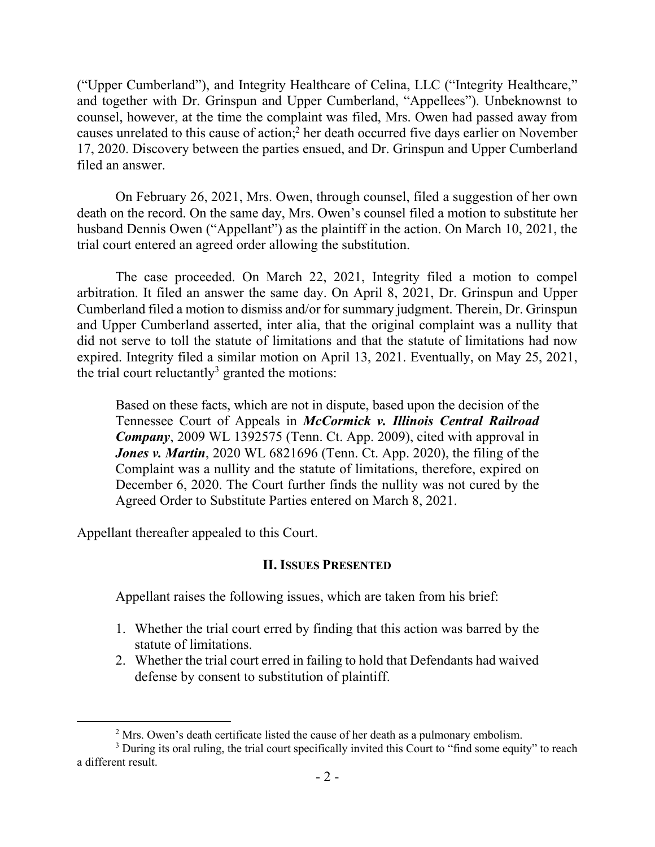("Upper Cumberland"), and Integrity Healthcare of Celina, LLC ("Integrity Healthcare," and together with Dr. Grinspun and Upper Cumberland, "Appellees"). Unbeknownst to counsel, however, at the time the complaint was filed, Mrs. Owen had passed away from causes unrelated to this cause of action; <sup>2</sup> her death occurred five days earlier on November 17, 2020. Discovery between the parties ensued, and Dr. Grinspun and Upper Cumberland filed an answer.

On February 26, 2021, Mrs. Owen, through counsel, filed a suggestion of her own death on the record. On the same day, Mrs. Owen's counsel filed a motion to substitute her husband Dennis Owen ("Appellant") as the plaintiff in the action. On March 10, 2021, the trial court entered an agreed order allowing the substitution.

The case proceeded. On March 22, 2021, Integrity filed a motion to compel arbitration. It filed an answer the same day. On April 8, 2021, Dr. Grinspun and Upper Cumberland filed a motion to dismiss and/or for summary judgment. Therein, Dr. Grinspun and Upper Cumberland asserted, inter alia, that the original complaint was a nullity that did not serve to toll the statute of limitations and that the statute of limitations had now expired. Integrity filed a similar motion on April 13, 2021. Eventually, on May 25, 2021, the trial court reluctantly<sup>3</sup> granted the motions:

Based on these facts, which are not in dispute, based upon the decision of the Tennessee Court of Appeals in *McCormick v. Illinois Central Railroad Company*, 2009 WL 1392575 (Tenn. Ct. App. 2009), cited with approval in *Jones v. Martin*, 2020 WL 6821696 (Tenn. Ct. App. 2020), the filing of the Complaint was a nullity and the statute of limitations, therefore, expired on December 6, 2020. The Court further finds the nullity was not cured by the Agreed Order to Substitute Parties entered on March 8, 2021.

Appellant thereafter appealed to this Court.

### **II. ISSUES PRESENTED**

Appellant raises the following issues, which are taken from his brief:

- 1. Whether the trial court erred by finding that this action was barred by the statute of limitations.
- 2. Whether the trial court erred in failing to hold that Defendants had waived defense by consent to substitution of plaintiff.

 $2$  Mrs. Owen's death certificate listed the cause of her death as a pulmonary embolism.

<sup>&</sup>lt;sup>3</sup> During its oral ruling, the trial court specifically invited this Court to "find some equity" to reach a different result.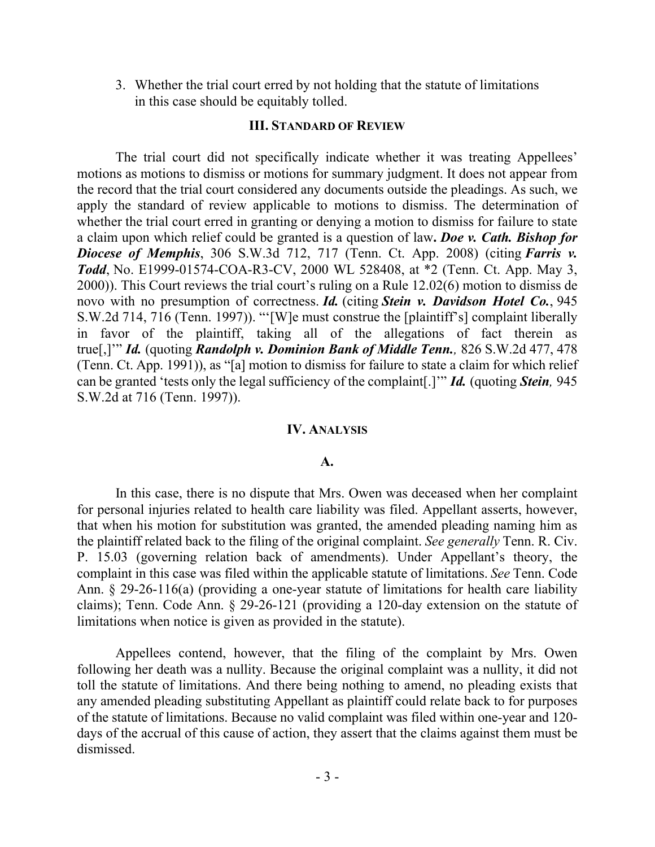3. Whether the trial court erred by not holding that the statute of limitations in this case should be equitably tolled.

#### **III. STANDARD OF REVIEW**

The trial court did not specifically indicate whether it was treating Appellees' motions as motions to dismiss or motions for summary judgment. It does not appear from the record that the trial court considered any documents outside the pleadings. As such, we apply the standard of review applicable to motions to dismiss. The determination of whether the trial court erred in granting or denying a motion to dismiss for failure to state a claim upon which relief could be granted is a question of law**.** *Doe v. Cath. Bishop for Diocese of Memphis*, 306 S.W.3d 712, 717 (Tenn. Ct. App. 2008) (citing *Farris v. Todd*, No. E1999-01574-COA-R3-CV, 2000 WL 528408, at \*2 (Tenn. Ct. App. May 3, 2000)). This Court reviews the trial court's ruling on a Rule 12.02(6) motion to dismiss de novo with no presumption of correctness. *Id.* (citing *Stein v. Davidson Hotel Co.*, 945 S.W.2d 714, 716 (Tenn. 1997)). "'[W]e must construe the [plaintiff's] complaint liberally in favor of the plaintiff, taking all of the allegations of fact therein as true[,]'" *Id.* (quoting *Randolph v. Dominion Bank of Middle Tenn.,* 826 S.W.2d 477, 478 (Tenn. Ct. App. 1991)), as "[a] motion to dismiss for failure to state a claim for which relief can be granted 'tests only the legal sufficiency of the complaint[.]'" *Id.* (quoting *Stein,* 945 S.W.2d at 716 (Tenn. 1997)).

#### **IV. ANALYSIS**

#### **A.**

In this case, there is no dispute that Mrs. Owen was deceased when her complaint for personal injuries related to health care liability was filed. Appellant asserts, however, that when his motion for substitution was granted, the amended pleading naming him as the plaintiff related back to the filing of the original complaint. *See generally* Tenn. R. Civ. P. 15.03 (governing relation back of amendments). Under Appellant's theory, the complaint in this case was filed within the applicable statute of limitations. *See* Tenn. Code Ann. § 29-26-116(a) (providing a one-year statute of limitations for health care liability claims); Tenn. Code Ann. § 29-26-121 (providing a 120-day extension on the statute of limitations when notice is given as provided in the statute).

Appellees contend, however, that the filing of the complaint by Mrs. Owen following her death was a nullity. Because the original complaint was a nullity, it did not toll the statute of limitations. And there being nothing to amend, no pleading exists that any amended pleading substituting Appellant as plaintiff could relate back to for purposes of the statute of limitations. Because no valid complaint was filed within one-year and 120 days of the accrual of this cause of action, they assert that the claims against them must be dismissed.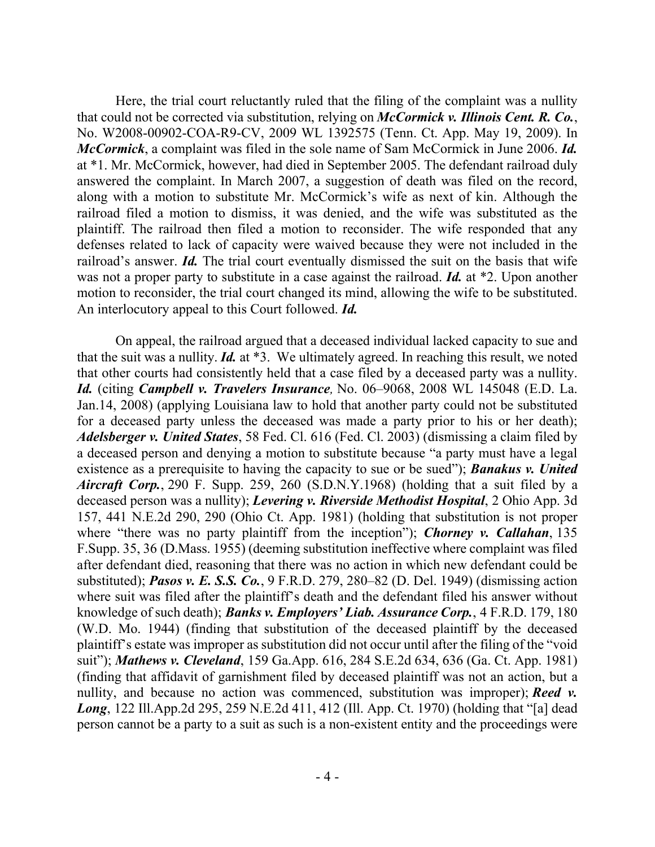Here, the trial court reluctantly ruled that the filing of the complaint was a nullity that could not be corrected via substitution, relying on *McCormick v. Illinois Cent. R. Co.*, No. W2008-00902-COA-R9-CV, 2009 WL 1392575 (Tenn. Ct. App. May 19, 2009). In *McCormick*, a complaint was filed in the sole name of Sam McCormick in June 2006. *Id.* at \*1. Mr. McCormick, however, had died in September 2005. The defendant railroad duly answered the complaint. In March 2007, a suggestion of death was filed on the record, along with a motion to substitute Mr. McCormick's wife as next of kin. Although the railroad filed a motion to dismiss, it was denied, and the wife was substituted as the plaintiff. The railroad then filed a motion to reconsider. The wife responded that any defenses related to lack of capacity were waived because they were not included in the railroad's answer. *Id.* The trial court eventually dismissed the suit on the basis that wife was not a proper party to substitute in a case against the railroad. *Id.* at \*2. Upon another motion to reconsider, the trial court changed its mind, allowing the wife to be substituted. An interlocutory appeal to this Court followed. *Id.*

On appeal, the railroad argued that a deceased individual lacked capacity to sue and that the suit was a nullity. *Id.* at \*3. We ultimately agreed. In reaching this result, we noted that other courts had consistently held that a case filed by a deceased party was a nullity. *Id.* (citing *Campbell v. Travelers Insurance,* No. 06–9068, 2008 WL 145048 (E.D. La. Jan.14, 2008) (applying Louisiana law to hold that another party could not be substituted for a deceased party unless the deceased was made a party prior to his or her death); *Adelsberger v. United States*, 58 Fed. Cl. 616 (Fed. Cl. 2003) (dismissing a claim filed by a deceased person and denying a motion to substitute because "a party must have a legal existence as a prerequisite to having the capacity to sue or be sued"); *Banakus v. United Aircraft Corp.*, 290 F. Supp. 259, 260 (S.D.N.Y.1968) (holding that a suit filed by a deceased person was a nullity); *Levering v. Riverside Methodist Hospital*, 2 Ohio App. 3d 157, 441 N.E.2d 290, 290 (Ohio Ct. App. 1981) (holding that substitution is not proper where "there was no party plaintiff from the inception"); *Chorney v. Callahan*, 135 F.Supp. 35, 36 (D.Mass. 1955) (deeming substitution ineffective where complaint was filed after defendant died, reasoning that there was no action in which new defendant could be substituted); *Pasos v. E. S.S. Co.*, 9 F.R.D. 279, 280–82 (D. Del. 1949) (dismissing action where suit was filed after the plaintiff's death and the defendant filed his answer without knowledge of such death); *Banks v. Employers' Liab. Assurance Corp.*, 4 F.R.D. 179, 180 (W.D. Mo. 1944) (finding that substitution of the deceased plaintiff by the deceased plaintiff's estate was improper as substitution did not occur until after the filing of the "void suit"); *Mathews v. Cleveland*, 159 Ga.App. 616, 284 S.E.2d 634, 636 (Ga. Ct. App. 1981) (finding that affidavit of garnishment filed by deceased plaintiff was not an action, but a nullity, and because no action was commenced, substitution was improper); *Reed v. Long*, 122 Ill.App.2d 295, 259 N.E.2d 411, 412 (Ill. App. Ct. 1970) (holding that "[a] dead person cannot be a party to a suit as such is a non-existent entity and the proceedings were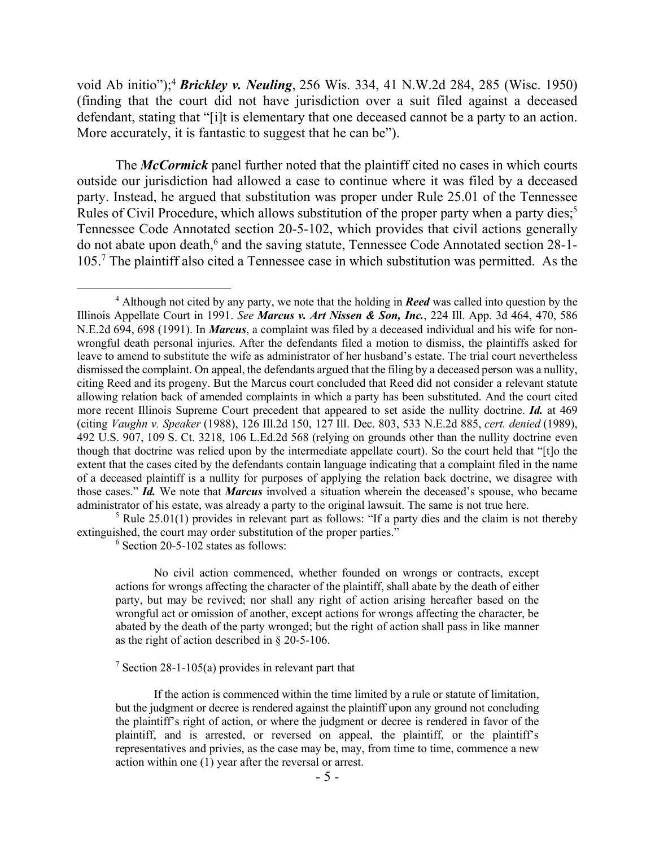void Ab initio");<sup>4</sup> *Brickley v. Neuling*, 256 Wis. 334, 41 N.W.2d 284, 285 (Wisc. 1950) (finding that the court did not have jurisdiction over a suit filed against a deceased defendant, stating that "[i]t is elementary that one deceased cannot be a party to an action. More accurately, it is fantastic to suggest that he can be").

The *McCormick* panel further noted that the plaintiff cited no cases in which courts outside our jurisdiction had allowed a case to continue where it was filed by a deceased party. Instead, he argued that substitution was proper under Rule 25.01 of the Tennessee Rules of Civil Procedure, which allows substitution of the proper party when a party dies;<sup>5</sup> Tennessee Code Annotated section 20-5-102, which provides that civil actions generally do not abate upon death,<sup>6</sup> and the saving statute, Tennessee Code Annotated section 28-1-105.<sup>7</sup> The plaintiff also cited a Tennessee case in which substitution was permitted. As the

 $5$  Rule 25.01(1) provides in relevant part as follows: "If a party dies and the claim is not thereby extinguished, the court may order substitution of the proper parties."

 $6$  Section 20-5-102 states as follows:

No civil action commenced, whether founded on wrongs or contracts, except actions for wrongs affecting the character of the plaintiff, shall abate by the death of either party, but may be revived; nor shall any right of action arising hereafter based on the wrongful act or omission of another, except actions for wrongs affecting the character, be abated by the death of the party wronged; but the right of action shall pass in like manner as the right of action described in § 20-5-106.

<sup>4</sup> Although not cited by any party, we note that the holding in *Reed* was called into question by the Illinois Appellate Court in 1991. *See Marcus v. Art Nissen & Son, Inc.*, 224 Ill. App. 3d 464, 470, 586 N.E.2d 694, 698 (1991). In *Marcus*, a complaint was filed by a deceased individual and his wife for nonwrongful death personal injuries. After the defendants filed a motion to dismiss, the plaintiffs asked for leave to amend to substitute the wife as administrator of her husband's estate. The trial court nevertheless dismissed the complaint. On appeal, the defendants argued that the filing by a deceased person was a nullity, citing Reed and its progeny. But the Marcus court concluded that Reed did not consider a relevant statute allowing relation back of amended complaints in which a party has been substituted. And the court cited more recent Illinois Supreme Court precedent that appeared to set aside the nullity doctrine. *Id.* at 469 (citing *Vaughn v. Speaker* (1988), 126 Ill.2d 150, 127 Ill. Dec. 803, 533 N.E.2d 885, *cert. denied* (1989), 492 U.S. 907, 109 S. Ct. 3218, 106 L.Ed.2d 568 (relying on grounds other than the nullity doctrine even though that doctrine was relied upon by the intermediate appellate court). So the court held that "[t]o the extent that the cases cited by the defendants contain language indicating that a complaint filed in the name of a deceased plaintiff is a nullity for purposes of applying the relation back doctrine, we disagree with those cases." *Id.* We note that *Marcus* involved a situation wherein the deceased's spouse, who became administrator of his estate, was already a party to the original lawsuit. The same is not true here.

<sup>&</sup>lt;sup>7</sup> Section 28-1-105(a) provides in relevant part that

If the action is commenced within the time limited by a rule or statute of limitation, but the judgment or decree is rendered against the plaintiff upon any ground not concluding the plaintiff's right of action, or where the judgment or decree is rendered in favor of the plaintiff, and is arrested, or reversed on appeal, the plaintiff, or the plaintiff's representatives and privies, as the case may be, may, from time to time, commence a new action within one (1) year after the reversal or arrest.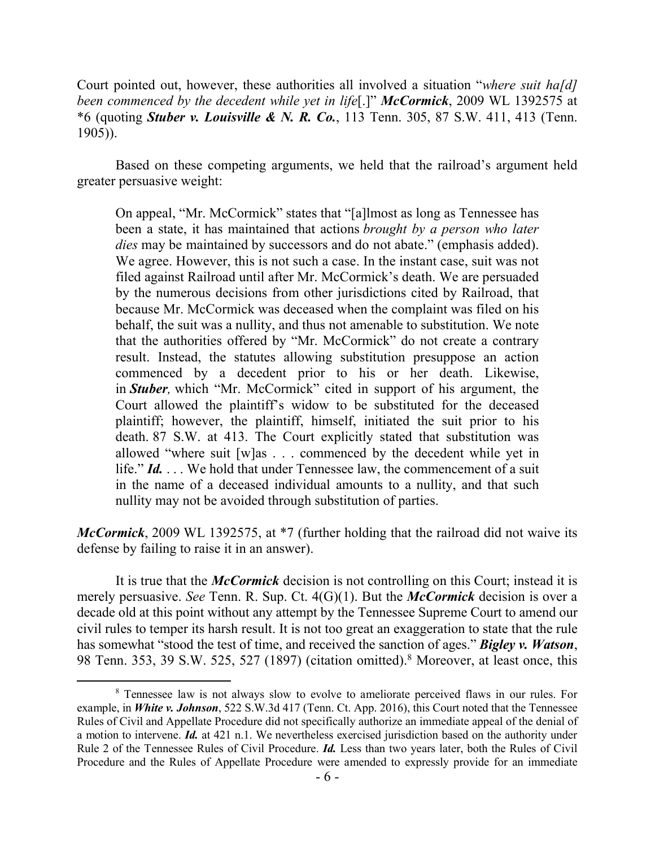Court pointed out, however, these authorities all involved a situation "*where suit ha[d] been commenced by the decedent while yet in life*[.]" *McCormick*, 2009 WL 1392575 at \*6 (quoting *Stuber v. Louisville & N. R. Co.*, 113 Tenn. 305, 87 S.W. 411, 413 (Tenn. 1905)).

Based on these competing arguments, we held that the railroad's argument held greater persuasive weight:

On appeal, "Mr. McCormick" states that "[a]lmost as long as Tennessee has been a state, it has maintained that actions *brought by a person who later dies* may be maintained by successors and do not abate." (emphasis added). We agree. However, this is not such a case. In the instant case, suit was not filed against Railroad until after Mr. McCormick's death. We are persuaded by the numerous decisions from other jurisdictions cited by Railroad, that because Mr. McCormick was deceased when the complaint was filed on his behalf, the suit was a nullity, and thus not amenable to substitution. We note that the authorities offered by "Mr. McCormick" do not create a contrary result. Instead, the statutes allowing substitution presuppose an action commenced by a decedent prior to his or her death. Likewise, in *Stuber,* which "Mr. McCormick" cited in support of his argument, the Court allowed the plaintiff's widow to be substituted for the deceased plaintiff; however, the plaintiff, himself, initiated the suit prior to his death. 87 S.W. at 413. The Court explicitly stated that substitution was allowed "where suit [w]as . . . commenced by the decedent while yet in life." *Id.* . . . We hold that under Tennessee law, the commencement of a suit in the name of a deceased individual amounts to a nullity, and that such nullity may not be avoided through substitution of parties.

*McCormick*, 2009 WL 1392575, at \*7 (further holding that the railroad did not waive its defense by failing to raise it in an answer).

It is true that the *McCormick* decision is not controlling on this Court; instead it is merely persuasive. *See* Tenn. R. Sup. Ct. 4(G)(1). But the *McCormick* decision is over a decade old at this point without any attempt by the Tennessee Supreme Court to amend our civil rules to temper its harsh result. It is not too great an exaggeration to state that the rule has somewhat "stood the test of time, and received the sanction of ages." *Bigley v. Watson*, 98 Tenn. 353, 39 S.W. 525, 527 (1897) (citation omitted).<sup>8</sup> Moreover, at least once, this

<sup>8</sup> Tennessee law is not always slow to evolve to ameliorate perceived flaws in our rules. For example, in *White v. Johnson*, 522 S.W.3d 417 (Tenn. Ct. App. 2016), this Court noted that the Tennessee Rules of Civil and Appellate Procedure did not specifically authorize an immediate appeal of the denial of a motion to intervene. *Id.* at 421 n.1. We nevertheless exercised jurisdiction based on the authority under Rule 2 of the Tennessee Rules of Civil Procedure. *Id.* Less than two years later, both the Rules of Civil Procedure and the Rules of Appellate Procedure were amended to expressly provide for an immediate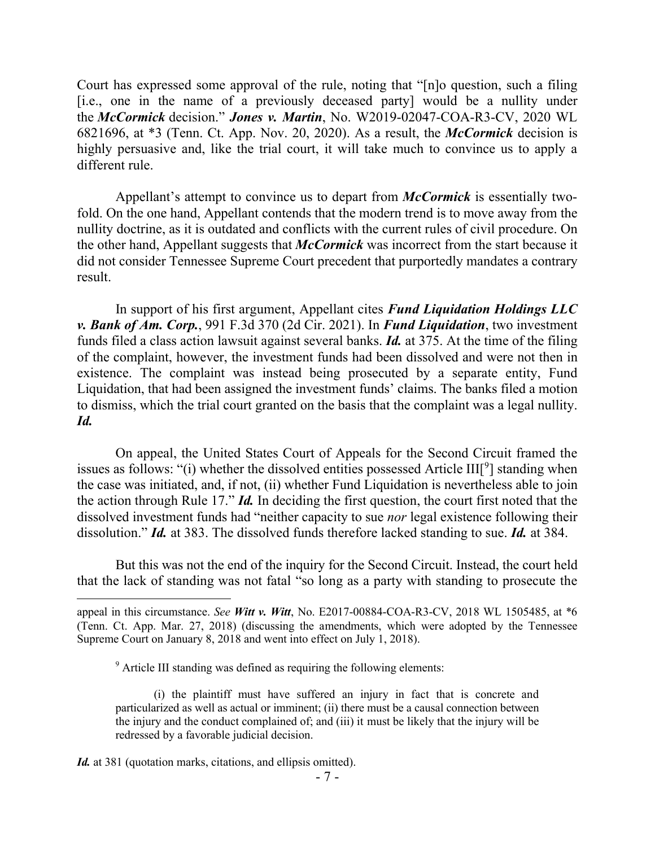Court has expressed some approval of the rule, noting that "[n]o question, such a filing [i.e., one in the name of a previously deceased party] would be a nullity under the *McCormick* decision." *Jones v. Martin*, No. W2019-02047-COA-R3-CV, 2020 WL 6821696, at \*3 (Tenn. Ct. App. Nov. 20, 2020). As a result, the *McCormick* decision is highly persuasive and, like the trial court, it will take much to convince us to apply a different rule.

Appellant's attempt to convince us to depart from *McCormick* is essentially twofold. On the one hand, Appellant contends that the modern trend is to move away from the nullity doctrine, as it is outdated and conflicts with the current rules of civil procedure. On the other hand, Appellant suggests that *McCormick* was incorrect from the start because it did not consider Tennessee Supreme Court precedent that purportedly mandates a contrary result.

In support of his first argument, Appellant cites *Fund Liquidation Holdings LLC v. Bank of Am. Corp.*, 991 F.3d 370 (2d Cir. 2021). In *Fund Liquidation*, two investment funds filed a class action lawsuit against several banks. *Id.* at 375. At the time of the filing of the complaint, however, the investment funds had been dissolved and were not then in existence. The complaint was instead being prosecuted by a separate entity, Fund Liquidation, that had been assigned the investment funds' claims. The banks filed a motion to dismiss, which the trial court granted on the basis that the complaint was a legal nullity. *Id.*

On appeal, the United States Court of Appeals for the Second Circuit framed the issues as follows: "(i) whether the dissolved entities possessed Article  $III[^9]$  standing when the case was initiated, and, if not, (ii) whether Fund Liquidation is nevertheless able to join the action through Rule 17." *Id.* In deciding the first question, the court first noted that the dissolved investment funds had "neither capacity to sue *nor* legal existence following their dissolution." *Id.* at 383. The dissolved funds therefore lacked standing to sue. *Id.* at 384.

But this was not the end of the inquiry for the Second Circuit. Instead, the court held that the lack of standing was not fatal "so long as a party with standing to prosecute the

appeal in this circumstance. *See Witt v. Witt*, No. E2017-00884-COA-R3-CV, 2018 WL 1505485, at \*6 (Tenn. Ct. App. Mar. 27, 2018) (discussing the amendments, which were adopted by the Tennessee Supreme Court on January 8, 2018 and went into effect on July 1, 2018).

<sup>&</sup>lt;sup>9</sup> Article III standing was defined as requiring the following elements:

<sup>(</sup>i) the plaintiff must have suffered an injury in fact that is concrete and particularized as well as actual or imminent; (ii) there must be a causal connection between the injury and the conduct complained of; and (iii) it must be likely that the injury will be redressed by a favorable judicial decision.

*Id.* at 381 (quotation marks, citations, and ellipsis omitted).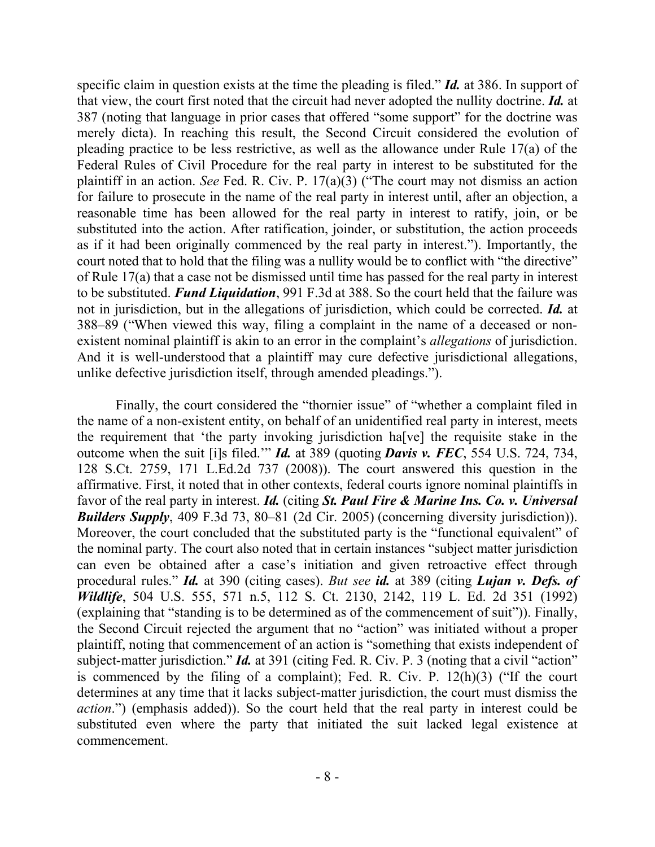specific claim in question exists at the time the pleading is filed." *Id.* at 386. In support of that view, the court first noted that the circuit had never adopted the nullity doctrine. *Id.* at 387 (noting that language in prior cases that offered "some support" for the doctrine was merely dicta). In reaching this result, the Second Circuit considered the evolution of pleading practice to be less restrictive, as well as the allowance under Rule 17(a) of the Federal Rules of Civil Procedure for the real party in interest to be substituted for the plaintiff in an action. *See* Fed. R. Civ. P. 17(a)(3) ("The court may not dismiss an action for failure to prosecute in the name of the real party in interest until, after an objection, a reasonable time has been allowed for the real party in interest to ratify, join, or be substituted into the action. After ratification, joinder, or substitution, the action proceeds as if it had been originally commenced by the real party in interest."). Importantly, the court noted that to hold that the filing was a nullity would be to conflict with "the directive" of Rule 17(a) that a case not be dismissed until time has passed for the real party in interest to be substituted. *Fund Liquidation*, 991 F.3d at 388. So the court held that the failure was not in jurisdiction, but in the allegations of jurisdiction, which could be corrected. *Id.* at 388–89 ("When viewed this way, filing a complaint in the name of a deceased or nonexistent nominal plaintiff is akin to an error in the complaint's *allegations* of jurisdiction. And it is well-understood that a plaintiff may cure defective jurisdictional allegations, unlike defective jurisdiction itself, through amended pleadings.").

Finally, the court considered the "thornier issue" of "whether a complaint filed in the name of a non-existent entity, on behalf of an unidentified real party in interest, meets the requirement that 'the party invoking jurisdiction ha[ve] the requisite stake in the outcome when the suit [i]s filed.'" *Id.* at 389 (quoting *Davis v. FEC*, 554 U.S. 724, 734, 128 S.Ct. 2759, 171 L.Ed.2d 737 (2008)). The court answered this question in the affirmative. First, it noted that in other contexts, federal courts ignore nominal plaintiffs in favor of the real party in interest. *Id.* (citing *St. Paul Fire & Marine Ins. Co. v. Universal Builders Supply*, 409 F.3d 73, 80–81 (2d Cir. 2005) (concerning diversity jurisdiction)). Moreover, the court concluded that the substituted party is the "functional equivalent" of the nominal party. The court also noted that in certain instances "subject matter jurisdiction can even be obtained after a case's initiation and given retroactive effect through procedural rules." *Id.* at 390 (citing cases). *But see id.* at 389 (citing *Lujan v. Defs. of Wildlife*, 504 U.S. 555, 571 n.5, 112 S. Ct. 2130, 2142, 119 L. Ed. 2d 351 (1992) (explaining that "standing is to be determined as of the commencement of suit")). Finally, the Second Circuit rejected the argument that no "action" was initiated without a proper plaintiff, noting that commencement of an action is "something that exists independent of subject-matter jurisdiction." *Id.* at 391 (citing Fed. R. Civ. P. 3 (noting that a civil "action" is commenced by the filing of a complaint); Fed. R. Civ. P. 12(h)(3) ("If the court determines at any time that it lacks subject-matter jurisdiction, the court must dismiss the *action*.") (emphasis added)). So the court held that the real party in interest could be substituted even where the party that initiated the suit lacked legal existence at commencement.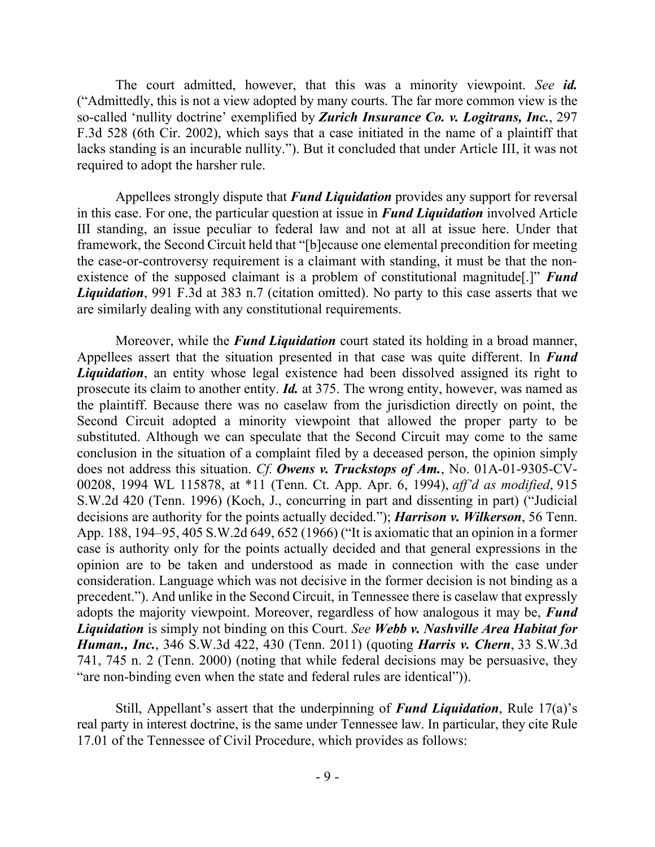The court admitted, however, that this was a minority viewpoint. *See id.*  ("Admittedly, this is not a view adopted by many courts. The far more common view is the so-called 'nullity doctrine' exemplified by *Zurich Insurance Co. v. Logitrans, Inc.*, 297 F.3d 528 (6th Cir. 2002), which says that a case initiated in the name of a plaintiff that lacks standing is an incurable nullity."). But it concluded that under Article III, it was not required to adopt the harsher rule.

Appellees strongly dispute that *Fund Liquidation* provides any support for reversal in this case. For one, the particular question at issue in *Fund Liquidation* involved Article III standing, an issue peculiar to federal law and not at all at issue here. Under that framework, the Second Circuit held that "[b]ecause one elemental precondition for meeting the case-or-controversy requirement is a claimant with standing, it must be that the nonexistence of the supposed claimant is a problem of constitutional magnitude[.]" *Fund Liquidation*, 991 F.3d at 383 n.7 (citation omitted). No party to this case asserts that we are similarly dealing with any constitutional requirements.

Moreover, while the *Fund Liquidation* court stated its holding in a broad manner, Appellees assert that the situation presented in that case was quite different. In *Fund Liquidation*, an entity whose legal existence had been dissolved assigned its right to prosecute its claim to another entity. *Id.* at 375. The wrong entity, however, was named as the plaintiff. Because there was no caselaw from the jurisdiction directly on point, the Second Circuit adopted a minority viewpoint that allowed the proper party to be substituted. Although we can speculate that the Second Circuit may come to the same conclusion in the situation of a complaint filed by a deceased person, the opinion simply does not address this situation. *Cf. Owens v. Truckstops of Am.*, No. 01A-01-9305-CV-00208, 1994 WL 115878, at \*11 (Tenn. Ct. App. Apr. 6, 1994), *aff'd as modified*, 915 S.W.2d 420 (Tenn. 1996) (Koch, J., concurring in part and dissenting in part) ("Judicial decisions are authority for the points actually decided."); *Harrison v. Wilkerson*, 56 Tenn. App. 188, 194–95, 405 S.W.2d 649, 652 (1966) ("It is axiomatic that an opinion in a former case is authority only for the points actually decided and that general expressions in the opinion are to be taken and understood as made in connection with the case under consideration. Language which was not decisive in the former decision is not binding as a precedent."). And unlike in the Second Circuit, in Tennessee there is caselaw that expressly adopts the majority viewpoint. Moreover, regardless of how analogous it may be, *Fund Liquidation* is simply not binding on this Court. *See Webb v. Nashville Area Habitat for Human., Inc.*, 346 S.W.3d 422, 430 (Tenn. 2011) (quoting *Harris v. Chern*, 33 S.W.3d 741, 745 n. 2 (Tenn. 2000) (noting that while federal decisions may be persuasive, they "are non-binding even when the state and federal rules are identical")).

Still, Appellant's assert that the underpinning of *Fund Liquidation*, Rule 17(a)'s real party in interest doctrine, is the same under Tennessee law. In particular, they cite Rule 17.01 of the Tennessee of Civil Procedure, which provides as follows: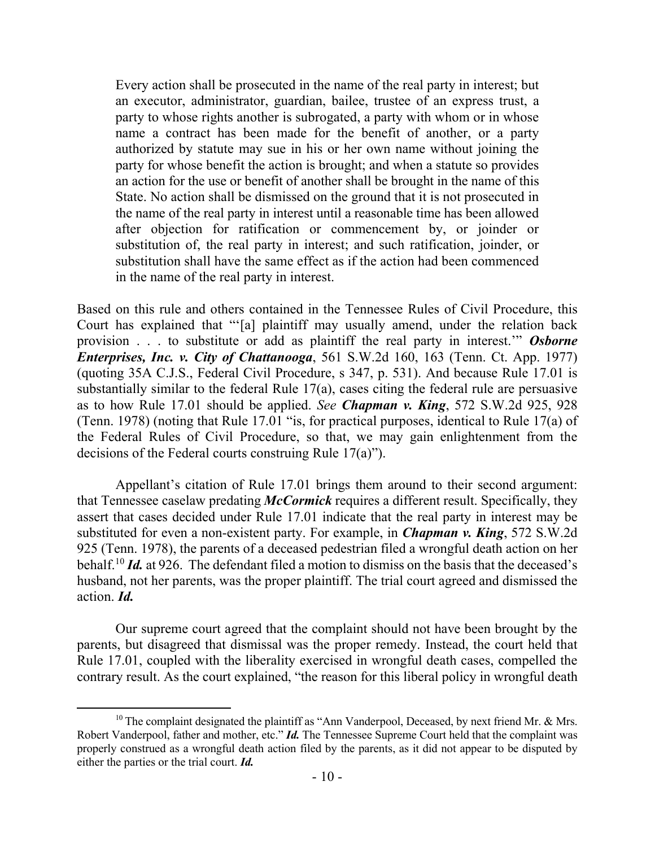Every action shall be prosecuted in the name of the real party in interest; but an executor, administrator, guardian, bailee, trustee of an express trust, a party to whose rights another is subrogated, a party with whom or in whose name a contract has been made for the benefit of another, or a party authorized by statute may sue in his or her own name without joining the party for whose benefit the action is brought; and when a statute so provides an action for the use or benefit of another shall be brought in the name of this State. No action shall be dismissed on the ground that it is not prosecuted in the name of the real party in interest until a reasonable time has been allowed after objection for ratification or commencement by, or joinder or substitution of, the real party in interest; and such ratification, joinder, or substitution shall have the same effect as if the action had been commenced in the name of the real party in interest.

Based on this rule and others contained in the Tennessee Rules of Civil Procedure, this Court has explained that "'[a] plaintiff may usually amend, under the relation back provision . . . to substitute or add as plaintiff the real party in interest.'" *Osborne Enterprises, Inc. v. City of Chattanooga*, 561 S.W.2d 160, 163 (Tenn. Ct. App. 1977) (quoting 35A C.J.S., Federal Civil Procedure, s 347, p. 531). And because Rule 17.01 is substantially similar to the federal Rule 17(a), cases citing the federal rule are persuasive as to how Rule 17.01 should be applied. *See Chapman v. King*, 572 S.W.2d 925, 928 (Tenn. 1978) (noting that Rule 17.01 "is, for practical purposes, identical to Rule 17(a) of the Federal Rules of Civil Procedure, so that, we may gain enlightenment from the decisions of the Federal courts construing Rule 17(a)").

Appellant's citation of Rule 17.01 brings them around to their second argument: that Tennessee caselaw predating *McCormick* requires a different result. Specifically, they assert that cases decided under Rule 17.01 indicate that the real party in interest may be substituted for even a non-existent party. For example, in *Chapman v. King*, 572 S.W.2d 925 (Tenn. 1978), the parents of a deceased pedestrian filed a wrongful death action on her behalf.<sup>10</sup> *Id.* at 926. The defendant filed a motion to dismiss on the basis that the deceased's husband, not her parents, was the proper plaintiff. The trial court agreed and dismissed the action. *Id.* 

Our supreme court agreed that the complaint should not have been brought by the parents, but disagreed that dismissal was the proper remedy. Instead, the court held that Rule 17.01, coupled with the liberality exercised in wrongful death cases, compelled the contrary result. As the court explained, "the reason for this liberal policy in wrongful death

<sup>&</sup>lt;sup>10</sup> The complaint designated the plaintiff as "Ann Vanderpool, Deceased, by next friend Mr. & Mrs. Robert Vanderpool, father and mother, etc." *Id.* The Tennessee Supreme Court held that the complaint was properly construed as a wrongful death action filed by the parents, as it did not appear to be disputed by either the parties or the trial court. *Id.*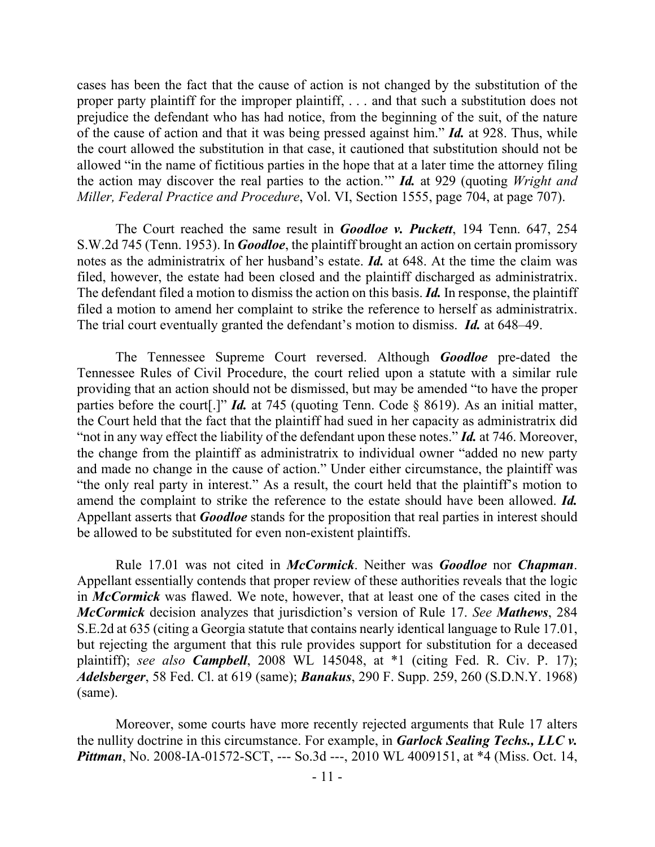cases has been the fact that the cause of action is not changed by the substitution of the proper party plaintiff for the improper plaintiff, . . . and that such a substitution does not prejudice the defendant who has had notice, from the beginning of the suit, of the nature of the cause of action and that it was being pressed against him." *Id.* at 928. Thus, while the court allowed the substitution in that case, it cautioned that substitution should not be allowed "in the name of fictitious parties in the hope that at a later time the attorney filing the action may discover the real parties to the action.'" *Id.* at 929 (quoting *Wright and Miller, Federal Practice and Procedure*, Vol. VI, Section 1555, page 704, at page 707).

The Court reached the same result in *Goodloe v. Puckett*, 194 Tenn. 647, 254 S.W.2d 745 (Tenn. 1953). In *Goodloe*, the plaintiff brought an action on certain promissory notes as the administratrix of her husband's estate. *Id.* at 648. At the time the claim was filed, however, the estate had been closed and the plaintiff discharged as administratrix. The defendant filed a motion to dismiss the action on this basis. *Id.* In response, the plaintiff filed a motion to amend her complaint to strike the reference to herself as administratrix. The trial court eventually granted the defendant's motion to dismiss. *Id.* at 648–49.

The Tennessee Supreme Court reversed. Although *Goodloe* pre-dated the Tennessee Rules of Civil Procedure, the court relied upon a statute with a similar rule providing that an action should not be dismissed, but may be amended "to have the proper parties before the court[.]" *Id.* at 745 (quoting Tenn. Code § 8619). As an initial matter, the Court held that the fact that the plaintiff had sued in her capacity as administratrix did "not in any way effect the liability of the defendant upon these notes." *Id.* at 746. Moreover, the change from the plaintiff as administratrix to individual owner "added no new party and made no change in the cause of action." Under either circumstance, the plaintiff was "the only real party in interest." As a result, the court held that the plaintiff's motion to amend the complaint to strike the reference to the estate should have been allowed. *Id.* Appellant asserts that *Goodloe* stands for the proposition that real parties in interest should be allowed to be substituted for even non-existent plaintiffs.

Rule 17.01 was not cited in *McCormick*. Neither was *Goodloe* nor *Chapman*. Appellant essentially contends that proper review of these authorities reveals that the logic in *McCormick* was flawed. We note, however, that at least one of the cases cited in the *McCormick* decision analyzes that jurisdiction's version of Rule 17. *See Mathews*, 284 S.E.2d at 635 (citing a Georgia statute that contains nearly identical language to Rule 17.01, but rejecting the argument that this rule provides support for substitution for a deceased plaintiff); *see also Campbell*, 2008 WL 145048, at \*1 (citing Fed. R. Civ. P. 17); *Adelsberger*, 58 Fed. Cl. at 619 (same); *Banakus*, 290 F. Supp. 259, 260 (S.D.N.Y. 1968) (same).

Moreover, some courts have more recently rejected arguments that Rule 17 alters the nullity doctrine in this circumstance. For example, in *Garlock Sealing Techs., LLC v. Pittman*, No. 2008-IA-01572-SCT, --- So.3d ---, 2010 WL 4009151, at \*4 (Miss. Oct. 14,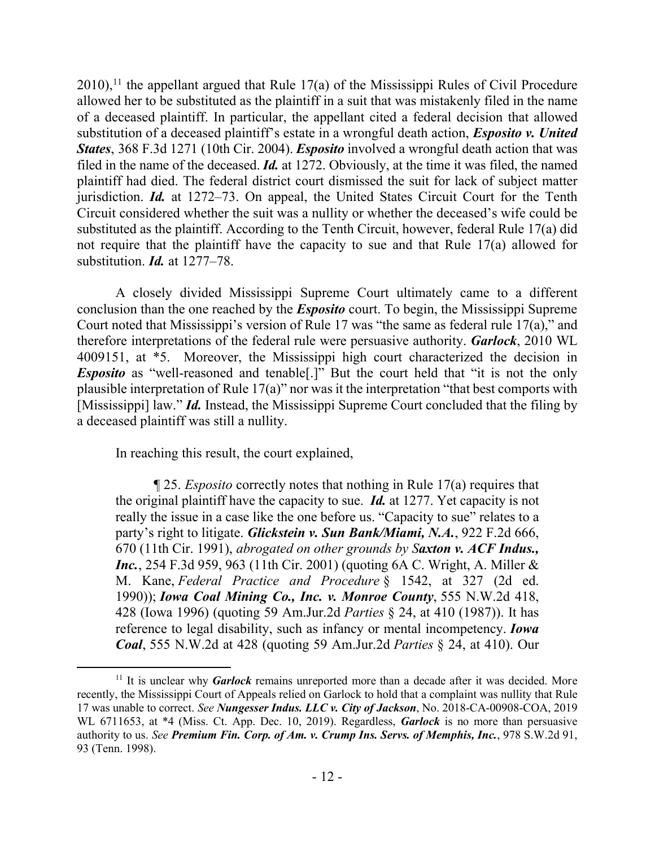$2010$ ,<sup>11</sup> the appellant argued that Rule 17(a) of the Mississippi Rules of Civil Procedure allowed her to be substituted as the plaintiff in a suit that was mistakenly filed in the name of a deceased plaintiff. In particular, the appellant cited a federal decision that allowed substitution of a deceased plaintiff's estate in a wrongful death action, *Esposito v. United States*, 368 F.3d 1271 (10th Cir. 2004). *Esposito* involved a wrongful death action that was filed in the name of the deceased. *Id.* at 1272. Obviously, at the time it was filed, the named plaintiff had died. The federal district court dismissed the suit for lack of subject matter jurisdiction. *Id.* at 1272–73. On appeal, the United States Circuit Court for the Tenth Circuit considered whether the suit was a nullity or whether the deceased's wife could be substituted as the plaintiff. According to the Tenth Circuit, however, federal Rule 17(a) did not require that the plaintiff have the capacity to sue and that Rule 17(a) allowed for substitution. *Id.* at 1277–78.

A closely divided Mississippi Supreme Court ultimately came to a different conclusion than the one reached by the *Esposito* court. To begin, the Mississippi Supreme Court noted that Mississippi's version of Rule 17 was "the same as federal rule 17(a)," and therefore interpretations of the federal rule were persuasive authority. *Garlock*, 2010 WL 4009151, at \*5. Moreover, the Mississippi high court characterized the decision in *Esposito* as "well-reasoned and tenable<sup>[1]</sup>. But the court held that "it is not the only plausible interpretation of Rule 17(a)" nor was it the interpretation "that best comports with [Mississippi] law." *Id.* Instead, the Mississippi Supreme Court concluded that the filing by a deceased plaintiff was still a nullity.

In reaching this result, the court explained,

¶ 25. *Esposito* correctly notes that nothing in Rule 17(a) requires that the original plaintiff have the capacity to sue. *Id.* at 1277. Yet capacity is not really the issue in a case like the one before us. "Capacity to sue" relates to a party's right to litigate. *Glickstein v. Sun Bank/Miami, N.A.*, 922 F.2d 666, 670 (11th Cir. 1991), *abrogated on other grounds by Saxton v. ACF Indus., Inc.*, 254 F.3d 959, 963 (11th Cir. 2001) (quoting 6A C. Wright, A. Miller & M. Kane, *Federal Practice and Procedure* § 1542, at 327 (2d ed. 1990)); *Iowa Coal Mining Co., Inc. v. Monroe County*, 555 N.W.2d 418, 428 (Iowa 1996) (quoting 59 Am.Jur.2d *Parties* § 24, at 410 (1987)). It has reference to legal disability, such as infancy or mental incompetency. *Iowa Coal*, 555 N.W.2d at 428 (quoting 59 Am.Jur.2d *Parties* § 24, at 410). Our

<sup>&</sup>lt;sup>11</sup> It is unclear why *Garlock* remains unreported more than a decade after it was decided. More recently, the Mississippi Court of Appeals relied on Garlock to hold that a complaint was nullity that Rule 17 was unable to correct. *See Nungesser Indus. LLC v. City of Jackson*, No. 2018-CA-00908-COA, 2019 WL 6711653, at \*4 (Miss. Ct. App. Dec. 10, 2019). Regardless, *Garlock* is no more than persuasive authority to us. *See Premium Fin. Corp. of Am. v. Crump Ins. Servs. of Memphis, Inc.*, 978 S.W.2d 91, 93 (Tenn. 1998).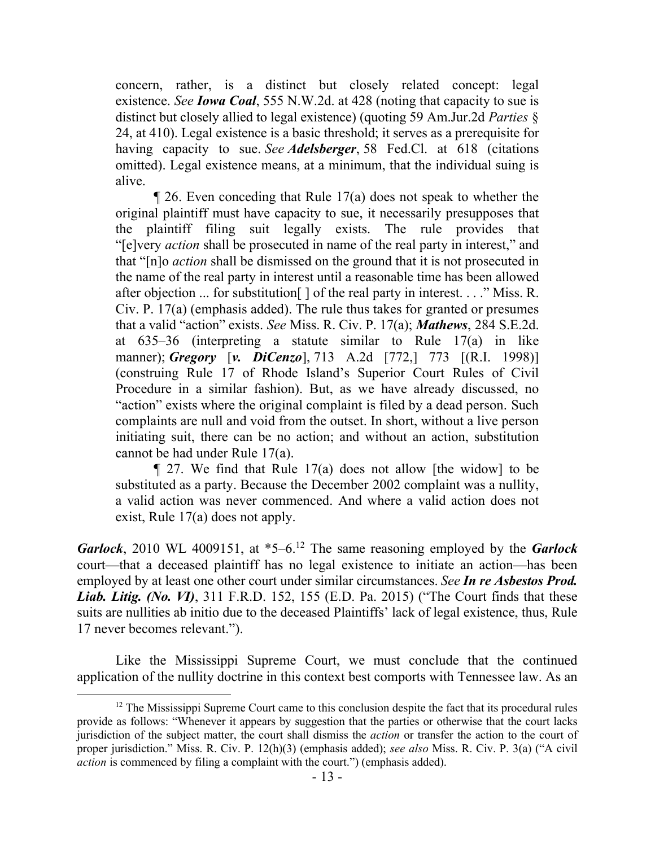concern, rather, is a distinct but closely related concept: legal existence. *See Iowa Coal*, 555 N.W.2d. at 428 (noting that capacity to sue is distinct but closely allied to legal existence) (quoting 59 Am.Jur.2d *Parties* § 24, at 410). Legal existence is a basic threshold; it serves as a prerequisite for having capacity to sue. *See Adelsberger*, 58 Fed.Cl. at 618 (citations omitted). Legal existence means, at a minimum, that the individual suing is alive.

 $\parallel$  26. Even conceding that Rule 17(a) does not speak to whether the original plaintiff must have capacity to sue, it necessarily presupposes that the plaintiff filing suit legally exists. The rule provides that "[e]very *action* shall be prosecuted in name of the real party in interest," and that "[n]o *action* shall be dismissed on the ground that it is not prosecuted in the name of the real party in interest until a reasonable time has been allowed after objection ... for substitution[ ] of the real party in interest. . . ." Miss. R. Civ. P. 17(a) (emphasis added). The rule thus takes for granted or presumes that a valid "action" exists. *See* Miss. R. Civ. P. 17(a); *Mathews*, 284 S.E.2d. at 635–36 (interpreting a statute similar to Rule 17(a) in like manner); *Gregory* [*v. DiCenzo*], 713 A.2d [772,] 773 [(R.I. 1998)] (construing Rule 17 of Rhode Island's Superior Court Rules of Civil Procedure in a similar fashion). But, as we have already discussed, no "action" exists where the original complaint is filed by a dead person. Such complaints are null and void from the outset. In short, without a live person initiating suit, there can be no action; and without an action, substitution cannot be had under Rule 17(a).

¶ 27. We find that Rule 17(a) does not allow [the widow] to be substituted as a party. Because the December 2002 complaint was a nullity, a valid action was never commenced. And where a valid action does not exist, Rule 17(a) does not apply.

*Garlock*, 2010 WL 4009151, at \*5–6.<sup>12</sup> The same reasoning employed by the *Garlock* court—that a deceased plaintiff has no legal existence to initiate an action—has been employed by at least one other court under similar circumstances. *See In re Asbestos Prod. Liab. Litig. (No. VI)*, 311 F.R.D. 152, 155 (E.D. Pa. 2015) ("The Court finds that these suits are nullities ab initio due to the deceased Plaintiffs' lack of legal existence, thus, Rule 17 never becomes relevant.").

Like the Mississippi Supreme Court, we must conclude that the continued application of the nullity doctrine in this context best comports with Tennessee law. As an

 $12$  The Mississippi Supreme Court came to this conclusion despite the fact that its procedural rules provide as follows: "Whenever it appears by suggestion that the parties or otherwise that the court lacks jurisdiction of the subject matter, the court shall dismiss the *action* or transfer the action to the court of proper jurisdiction." Miss. R. Civ. P. 12(h)(3) (emphasis added); *see also* Miss. R. Civ. P. 3(a) ("A civil *action* is commenced by filing a complaint with the court.") (emphasis added).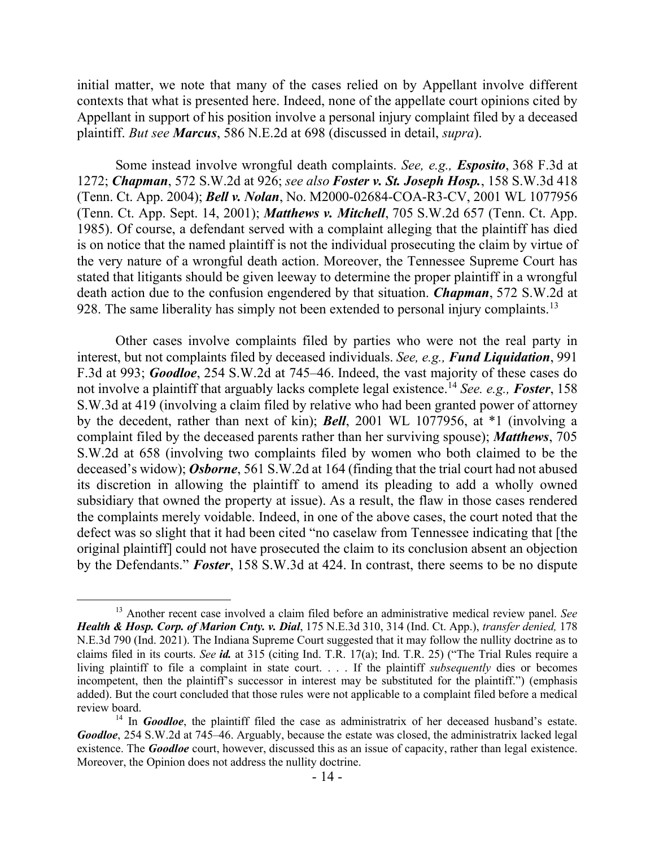initial matter, we note that many of the cases relied on by Appellant involve different contexts that what is presented here. Indeed, none of the appellate court opinions cited by Appellant in support of his position involve a personal injury complaint filed by a deceased plaintiff. *But see Marcus*, 586 N.E.2d at 698 (discussed in detail, *supra*).

Some instead involve wrongful death complaints. *See, e.g., Esposito*, 368 F.3d at 1272; *Chapman*, 572 S.W.2d at 926; *see also Foster v. St. Joseph Hosp.*, 158 S.W.3d 418 (Tenn. Ct. App. 2004); *Bell v. Nolan*, No. M2000-02684-COA-R3-CV, 2001 WL 1077956 (Tenn. Ct. App. Sept. 14, 2001); *Matthews v. Mitchell*, 705 S.W.2d 657 (Tenn. Ct. App. 1985). Of course, a defendant served with a complaint alleging that the plaintiff has died is on notice that the named plaintiff is not the individual prosecuting the claim by virtue of the very nature of a wrongful death action. Moreover, the Tennessee Supreme Court has stated that litigants should be given leeway to determine the proper plaintiff in a wrongful death action due to the confusion engendered by that situation. *Chapman*, 572 S.W.2d at 928. The same liberality has simply not been extended to personal injury complaints.<sup>13</sup>

Other cases involve complaints filed by parties who were not the real party in interest, but not complaints filed by deceased individuals. *See, e.g., Fund Liquidation*, 991 F.3d at 993; *Goodloe*, 254 S.W.2d at 745–46. Indeed, the vast majority of these cases do not involve a plaintiff that arguably lacks complete legal existence.<sup>14</sup> *See. e.g., Foster*, 158 S.W.3d at 419 (involving a claim filed by relative who had been granted power of attorney by the decedent, rather than next of kin); *Bell*, 2001 WL 1077956, at \*1 (involving a complaint filed by the deceased parents rather than her surviving spouse); *Matthews*, 705 S.W.2d at 658 (involving two complaints filed by women who both claimed to be the deceased's widow); *Osborne*, 561 S.W.2d at 164 (finding that the trial court had not abused its discretion in allowing the plaintiff to amend its pleading to add a wholly owned subsidiary that owned the property at issue). As a result, the flaw in those cases rendered the complaints merely voidable. Indeed, in one of the above cases, the court noted that the defect was so slight that it had been cited "no caselaw from Tennessee indicating that [the original plaintiff] could not have prosecuted the claim to its conclusion absent an objection by the Defendants." *Foster*, 158 S.W.3d at 424. In contrast, there seems to be no dispute

<sup>13</sup> Another recent case involved a claim filed before an administrative medical review panel. *See Health & Hosp. Corp. of Marion Cnty. v. Dial*, 175 N.E.3d 310, 314 (Ind. Ct. App.), *transfer denied,* 178 N.E.3d 790 (Ind. 2021). The Indiana Supreme Court suggested that it may follow the nullity doctrine as to claims filed in its courts. *See id.* at 315 (citing Ind. T.R. 17(a); Ind. T.R. 25) ("The Trial Rules require a living plaintiff to file a complaint in state court. . . . If the plaintiff *subsequently* dies or becomes incompetent, then the plaintiff's successor in interest may be substituted for the plaintiff.") (emphasis added). But the court concluded that those rules were not applicable to a complaint filed before a medical review board.

<sup>&</sup>lt;sup>14</sup> In *Goodloe*, the plaintiff filed the case as administratrix of her deceased husband's estate. *Goodloe*, 254 S.W.2d at 745–46. Arguably, because the estate was closed, the administratrix lacked legal existence. The *Goodloe* court, however, discussed this as an issue of capacity, rather than legal existence. Moreover, the Opinion does not address the nullity doctrine.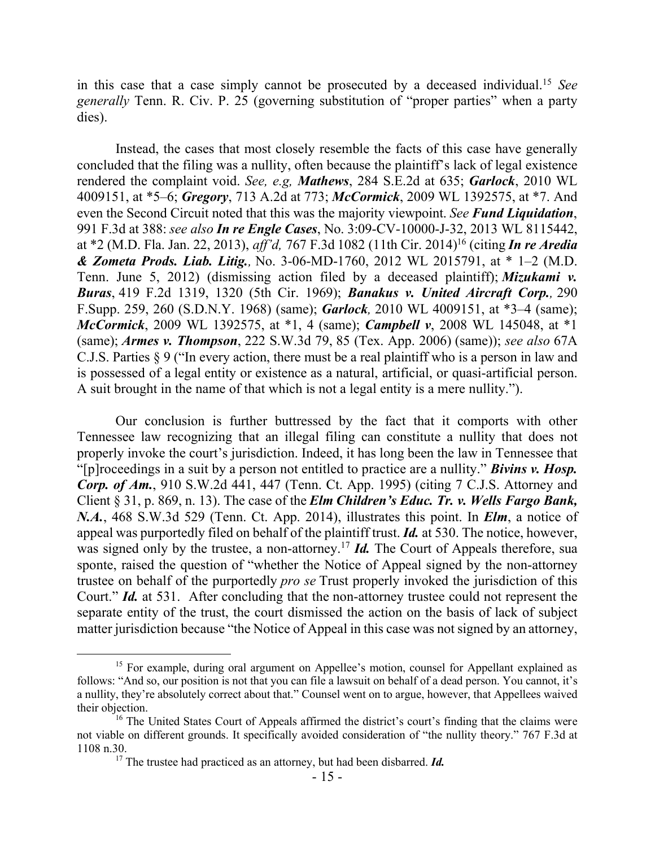in this case that a case simply cannot be prosecuted by a deceased individual.<sup>15</sup> *See generally* Tenn. R. Civ. P. 25 (governing substitution of "proper parties" when a party dies).

Instead, the cases that most closely resemble the facts of this case have generally concluded that the filing was a nullity, often because the plaintiff's lack of legal existence rendered the complaint void. *See, e.g, Mathews*, 284 S.E.2d at 635; *Garlock*, 2010 WL 4009151, at \*5–6; *Gregory*, 713 A.2d at 773; *McCormick*, 2009 WL 1392575, at \*7. And even the Second Circuit noted that this was the majority viewpoint. *See Fund Liquidation*, 991 F.3d at 388: *see also In re Engle Cases*, No. 3:09-CV-10000-J-32, 2013 WL 8115442, at \*2 (M.D. Fla. Jan. 22, 2013), *aff'd,* 767 F.3d 1082 (11th Cir. 2014)<sup>16</sup> (citing *In re Aredia & Zometa Prods. Liab. Litig.,* No. 3-06-MD-1760, 2012 WL 2015791, at \* 1–2 (M.D. Tenn. June 5, 2012) (dismissing action filed by a deceased plaintiff); *Mizukami v. Buras*, 419 F.2d 1319, 1320 (5th Cir. 1969); *Banakus v. United Aircraft Corp.,* 290 F.Supp. 259, 260 (S.D.N.Y. 1968) (same); *Garlock,* 2010 WL 4009151, at \*3–4 (same); *McCormick*, 2009 WL 1392575, at \*1, 4 (same); *Campbell v*, 2008 WL 145048, at \*1 (same); *Armes v. Thompson*, 222 S.W.3d 79, 85 (Tex. App. 2006) (same)); *see also* 67A C.J.S. Parties § 9 ("In every action, there must be a real plaintiff who is a person in law and is possessed of a legal entity or existence as a natural, artificial, or quasi-artificial person. A suit brought in the name of that which is not a legal entity is a mere nullity.").

Our conclusion is further buttressed by the fact that it comports with other Tennessee law recognizing that an illegal filing can constitute a nullity that does not properly invoke the court's jurisdiction. Indeed, it has long been the law in Tennessee that "[p]roceedings in a suit by a person not entitled to practice are a nullity." *Bivins v. Hosp. Corp. of Am.*, 910 S.W.2d 441, 447 (Tenn. Ct. App. 1995) (citing 7 C.J.S. Attorney and Client § 31, p. 869, n. 13). The case of the *Elm Children's Educ. Tr. v. Wells Fargo Bank, N.A.*, 468 S.W.3d 529 (Tenn. Ct. App. 2014), illustrates this point. In *Elm*, a notice of appeal was purportedly filed on behalf of the plaintiff trust. *Id.* at 530. The notice, however, was signed only by the trustee, a non-attorney.<sup>17</sup> *Id*. The Court of Appeals therefore, sua sponte, raised the question of "whether the Notice of Appeal signed by the non-attorney trustee on behalf of the purportedly *pro se* Trust properly invoked the jurisdiction of this Court." *Id.* at 531. After concluding that the non-attorney trustee could not represent the separate entity of the trust, the court dismissed the action on the basis of lack of subject matter jurisdiction because "the Notice of Appeal in this case was not signed by an attorney,

<sup>&</sup>lt;sup>15</sup> For example, during oral argument on Appellee's motion, counsel for Appellant explained as follows: "And so, our position is not that you can file a lawsuit on behalf of a dead person. You cannot, it's a nullity, they're absolutely correct about that." Counsel went on to argue, however, that Appellees waived their objection.

<sup>&</sup>lt;sup>16</sup> The United States Court of Appeals affirmed the district's court's finding that the claims were not viable on different grounds. It specifically avoided consideration of "the nullity theory." 767 F.3d at 1108 n.30.

<sup>&</sup>lt;sup>17</sup> The trustee had practiced as an attorney, but had been disbarred. *Id.*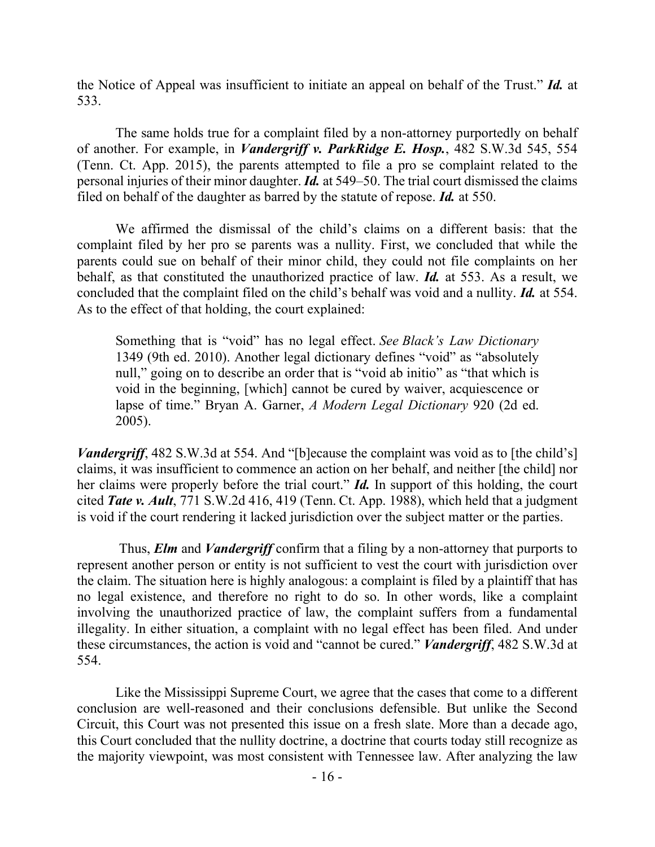the Notice of Appeal was insufficient to initiate an appeal on behalf of the Trust." *Id.* at 533.

The same holds true for a complaint filed by a non-attorney purportedly on behalf of another. For example, in *Vandergriff v. ParkRidge E. Hosp.*, 482 S.W.3d 545, 554 (Tenn. Ct. App. 2015), the parents attempted to file a pro se complaint related to the personal injuries of their minor daughter. *Id.* at 549–50. The trial court dismissed the claims filed on behalf of the daughter as barred by the statute of repose. *Id.* at 550.

We affirmed the dismissal of the child's claims on a different basis: that the complaint filed by her pro se parents was a nullity. First, we concluded that while the parents could sue on behalf of their minor child, they could not file complaints on her behalf, as that constituted the unauthorized practice of law. *Id.* at 553. As a result, we concluded that the complaint filed on the child's behalf was void and a nullity. *Id.* at 554. As to the effect of that holding, the court explained:

Something that is "void" has no legal effect. *See Black's Law Dictionary* 1349 (9th ed. 2010). Another legal dictionary defines "void" as "absolutely null," going on to describe an order that is "void ab initio" as "that which is void in the beginning, [which] cannot be cured by waiver, acquiescence or lapse of time." Bryan A. Garner, *A Modern Legal Dictionary* 920 (2d ed. 2005).

*Vandergriff*, 482 S.W.3d at 554. And "[b]ecause the complaint was void as to [the child's] claims, it was insufficient to commence an action on her behalf, and neither [the child] nor her claims were properly before the trial court." *Id.* In support of this holding, the court cited *Tate v. Ault*, 771 S.W.2d 416, 419 (Tenn. Ct. App. 1988), which held that a judgment is void if the court rendering it lacked jurisdiction over the subject matter or the parties.

Thus, *Elm* and *Vandergriff* confirm that a filing by a non-attorney that purports to represent another person or entity is not sufficient to vest the court with jurisdiction over the claim. The situation here is highly analogous: a complaint is filed by a plaintiff that has no legal existence, and therefore no right to do so. In other words, like a complaint involving the unauthorized practice of law, the complaint suffers from a fundamental illegality. In either situation, a complaint with no legal effect has been filed. And under these circumstances, the action is void and "cannot be cured." *Vandergriff*, 482 S.W.3d at 554.

Like the Mississippi Supreme Court, we agree that the cases that come to a different conclusion are well-reasoned and their conclusions defensible. But unlike the Second Circuit, this Court was not presented this issue on a fresh slate. More than a decade ago, this Court concluded that the nullity doctrine, a doctrine that courts today still recognize as the majority viewpoint, was most consistent with Tennessee law. After analyzing the law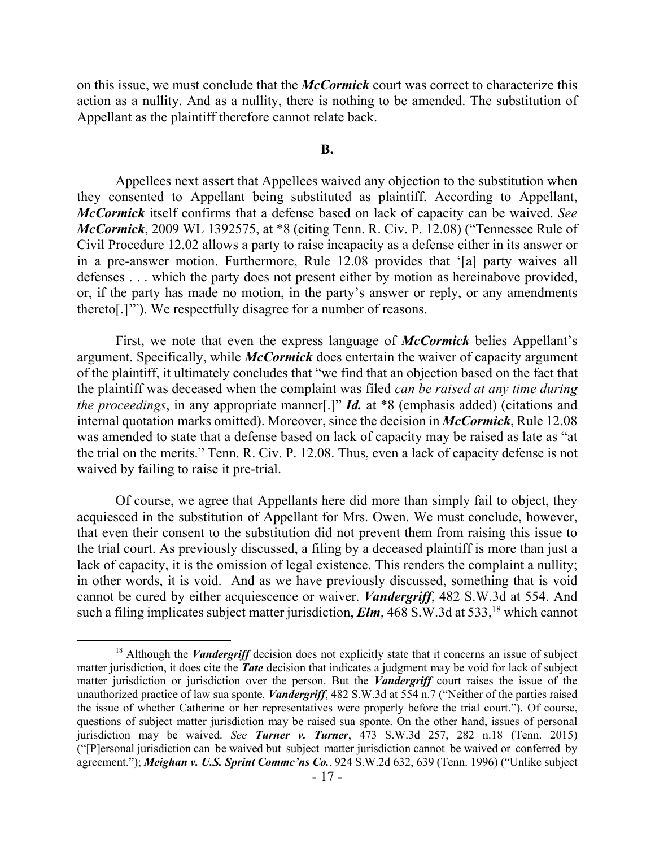on this issue, we must conclude that the *McCormick* court was correct to characterize this action as a nullity. And as a nullity, there is nothing to be amended. The substitution of Appellant as the plaintiff therefore cannot relate back.

#### **B.**

Appellees next assert that Appellees waived any objection to the substitution when they consented to Appellant being substituted as plaintiff. According to Appellant, *McCormick* itself confirms that a defense based on lack of capacity can be waived. *See McCormick*, 2009 WL 1392575, at \*8 (citing Tenn. R. Civ. P. 12.08) ("Tennessee Rule of Civil Procedure 12.02 allows a party to raise incapacity as a defense either in its answer or in a pre-answer motion. Furthermore, Rule 12.08 provides that '[a] party waives all defenses . . . which the party does not present either by motion as hereinabove provided, or, if the party has made no motion, in the party's answer or reply, or any amendments thereto[.]'"). We respectfully disagree for a number of reasons.

First, we note that even the express language of *McCormick* belies Appellant's argument. Specifically, while *McCormick* does entertain the waiver of capacity argument of the plaintiff, it ultimately concludes that "we find that an objection based on the fact that the plaintiff was deceased when the complaint was filed *can be raised at any time during the proceedings*, in any appropriate manner[.]" *Id.* at \*8 (emphasis added) (citations and internal quotation marks omitted). Moreover, since the decision in *McCormick*, Rule 12.08 was amended to state that a defense based on lack of capacity may be raised as late as "at the trial on the merits." Tenn. R. Civ. P. 12.08. Thus, even a lack of capacity defense is not waived by failing to raise it pre-trial.

Of course, we agree that Appellants here did more than simply fail to object, they acquiesced in the substitution of Appellant for Mrs. Owen. We must conclude, however, that even their consent to the substitution did not prevent them from raising this issue to the trial court. As previously discussed, a filing by a deceased plaintiff is more than just a lack of capacity, it is the omission of legal existence. This renders the complaint a nullity; in other words, it is void. And as we have previously discussed, something that is void cannot be cured by either acquiescence or waiver. *Vandergriff*, 482 S.W.3d at 554. And such a filing implicates subject matter jurisdiction, *Elm*, 468 S.W.3d at 533,<sup>18</sup> which cannot

<sup>&</sup>lt;sup>18</sup> Although the *Vandergriff* decision does not explicitly state that it concerns an issue of subject matter jurisdiction, it does cite the *Tate* decision that indicates a judgment may be void for lack of subject matter jurisdiction or jurisdiction over the person. But the *Vandergriff* court raises the issue of the unauthorized practice of law sua sponte. *Vandergriff*, 482 S.W.3d at 554 n.7 ("Neither of the parties raised the issue of whether Catherine or her representatives were properly before the trial court."). Of course, questions of subject matter jurisdiction may be raised sua sponte. On the other hand, issues of personal jurisdiction may be waived. *See Turner v. Turner*, 473 S.W.3d 257, 282 n.18 (Tenn. 2015) ("[P]ersonal jurisdiction can be waived but subject matter jurisdiction cannot be waived or conferred by agreement."); *Meighan v. U.S. Sprint Commc'ns Co.*, 924 S.W.2d 632, 639 (Tenn. 1996) ("Unlike subject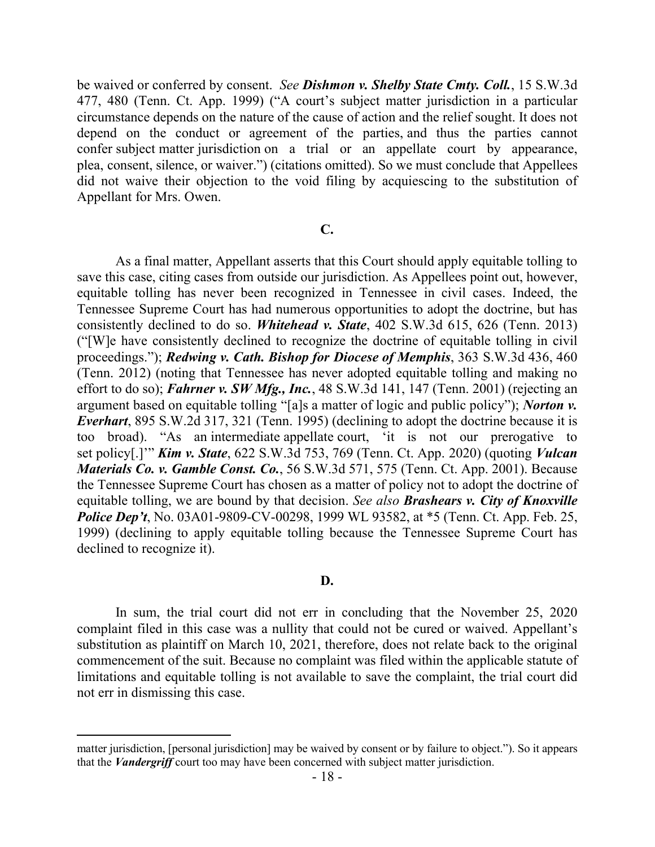be waived or conferred by consent. *See Dishmon v. Shelby State Cmty. Coll.*, 15 S.W.3d 477, 480 (Tenn. Ct. App. 1999) ("A court's subject matter jurisdiction in a particular circumstance depends on the nature of the cause of action and the relief sought. It does not depend on the conduct or agreement of the parties, and thus the parties cannot confer subject matter jurisdiction on a trial or an appellate court by appearance, plea, consent, silence, or waiver.") (citations omitted). So we must conclude that Appellees did not waive their objection to the void filing by acquiescing to the substitution of Appellant for Mrs. Owen.

#### **C.**

As a final matter, Appellant asserts that this Court should apply equitable tolling to save this case, citing cases from outside our jurisdiction. As Appellees point out, however, equitable tolling has never been recognized in Tennessee in civil cases. Indeed, the Tennessee Supreme Court has had numerous opportunities to adopt the doctrine, but has consistently declined to do so. *Whitehead v. State*, 402 S.W.3d 615, 626 (Tenn. 2013) ("[W]e have consistently declined to recognize the doctrine of equitable tolling in civil proceedings."); *Redwing v. Cath. Bishop for Diocese of Memphis*, 363 S.W.3d 436, 460 (Tenn. 2012) (noting that Tennessee has never adopted equitable tolling and making no effort to do so); *Fahrner v. SW Mfg., Inc.*, 48 S.W.3d 141, 147 (Tenn. 2001) (rejecting an argument based on equitable tolling "[a]s a matter of logic and public policy"); *Norton v. Everhart*, 895 S.W.2d 317, 321 (Tenn. 1995) (declining to adopt the doctrine because it is too broad). "As an intermediate appellate court, 'it is not our prerogative to set policy[.]'" *Kim v. State*, 622 S.W.3d 753, 769 (Tenn. Ct. App. 2020) (quoting *Vulcan Materials Co. v. Gamble Const. Co.*, 56 S.W.3d 571, 575 (Tenn. Ct. App. 2001). Because the Tennessee Supreme Court has chosen as a matter of policy not to adopt the doctrine of equitable tolling, we are bound by that decision. *See also Brashears v. City of Knoxville Police Dep't*, No. 03A01-9809-CV-00298, 1999 WL 93582, at \*5 (Tenn. Ct. App. Feb. 25, 1999) (declining to apply equitable tolling because the Tennessee Supreme Court has declined to recognize it).

#### **D.**

In sum, the trial court did not err in concluding that the November 25, 2020 complaint filed in this case was a nullity that could not be cured or waived. Appellant's substitution as plaintiff on March 10, 2021, therefore, does not relate back to the original commencement of the suit. Because no complaint was filed within the applicable statute of limitations and equitable tolling is not available to save the complaint, the trial court did not err in dismissing this case.

matter jurisdiction, [personal jurisdiction] may be waived by consent or by failure to object."). So it appears that the *Vandergriff* court too may have been concerned with subject matter jurisdiction.